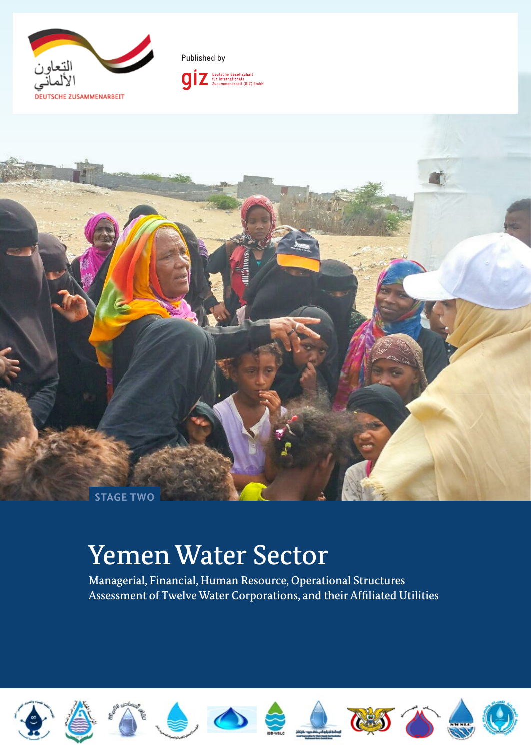





# Yemen Water Sector

Managerial, Financial, Human Resource, Operational Structures Assessment of Twelve Water Corporations, and their Affiliated Utilities

















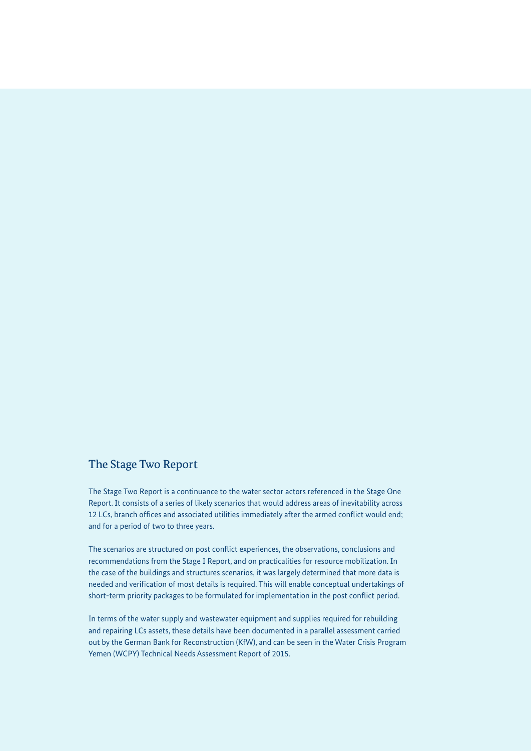#### The Stage Two Report

The Stage Two Report is a continuance to the water sector actors referenced in the Stage One Report. It consists of a series of likely scenarios that would address areas of inevitability across 12 LCs, branch offices and associated utilities immediately after the armed conflict would end; and for a period of two to three years.

The scenarios are structured on post conflict experiences, the observations, conclusions and recommendations from the Stage I Report, and on practicalities for resource mobilization. In the case of the buildings and structures scenarios, it was largely determined that more data is needed and verification of most details is required. This will enable conceptual undertakings of short-term priority packages to be formulated for implementation in the post conflict period.

In terms of the water supply and wastewater equipment and supplies required for rebuilding and repairing LCs assets, these details have been documented in a parallel assessment carried out by the German Bank for Reconstruction (KfW), and can be seen in the Water Crisis Program Yemen (WCPY) Technical Needs Assessment Report of 2015.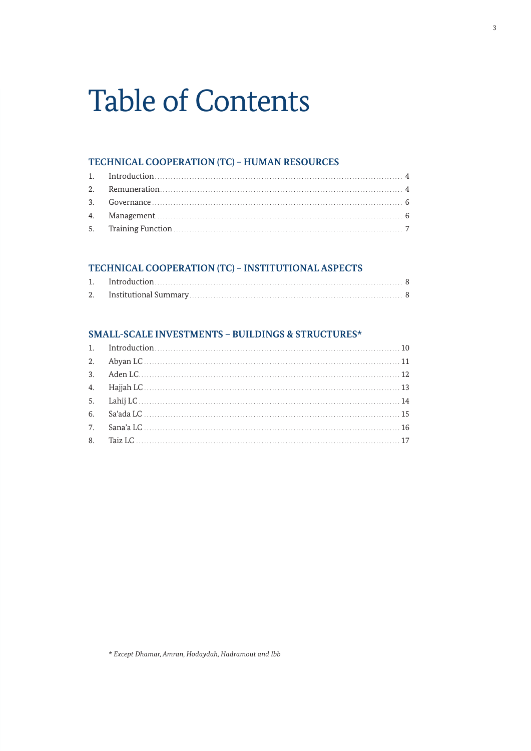# **Table of Contents**

#### TECHNICAL COOPERATION (TC) - HUMAN RESOURCES

#### TECHNICAL COOPERATION (TC) - INSTITUTIONAL ASPECTS

#### SMALL-SCALE INVESTMENTS - BUILDINGS & STRUCTURES\*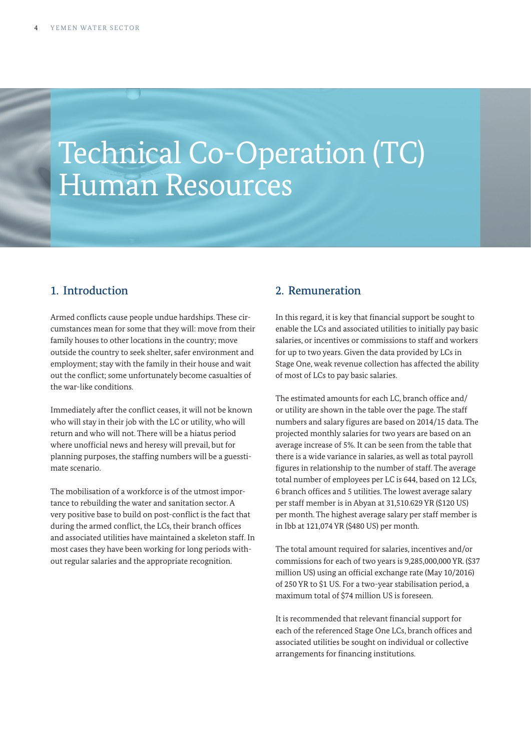# Technical Co-Operation (TC) Human Resources

### 1. Introduction

Armed conflicts cause people undue hardships. These circumstances mean for some that they will: move from their family houses to other locations in the country; move outside the country to seek shelter, safer environment and employment; stay with the family in their house and wait out the conflict; some unfortunately become casualties of the war-like conditions.

Immediately after the conflict ceases, it will not be known who will stay in their job with the LC or utility, who will return and who will not. There will be a hiatus period where unofficial news and heresy will prevail, but for planning purposes, the staffing numbers will be a guesstimate scenario.

The mobilisation of a workforce is of the utmost importance to rebuilding the water and sanitation sector. A very positive base to build on post-conflict is the fact that during the armed conflict, the LCs, their branch offices and associated utilities have maintained a skeleton staff. In most cases they have been working for long periods without regular salaries and the appropriate recognition.

### 2. Remuneration

In this regard, it is key that financial support be sought to enable the LCs and associated utilities to initially pay basic salaries, or incentives or commissions to staff and workers for up to two years. Given the data provided by LCs in Stage One, weak revenue collection has affected the ability of most of LCs to pay basic salaries.

The estimated amounts for each LC, branch office and/ or utility are shown in the table over the page. The staff numbers and salary figures are based on 2014/15 data. The projected monthly salaries for two years are based on an average increase of 5%. It can be seen from the table that there is a wide variance in salaries, as well as total payroll figures in relationship to the number of staff. The average total number of employees per LC is 644, based on 12 LCs, 6 branch offices and 5 utilities. The lowest average salary per staff member is in Abyan at 31,510.629 YR (\$120 US) per month. The highest average salary per staff member is in Ibb at 121,074 YR (\$480 US) per month.

The total amount required for salaries, incentives and/or commissions for each of two years is 9,285,000,000 YR. (\$37 million US) using an official exchange rate (May 10/2016) of 250 YR to \$1 US. For a two-year stabilisation period, a maximum total of \$74 million US is foreseen.

It is recommended that relevant financial support for each of the referenced Stage One LCs, branch offices and associated utilities be sought on individual or collective arrangements for financing institutions.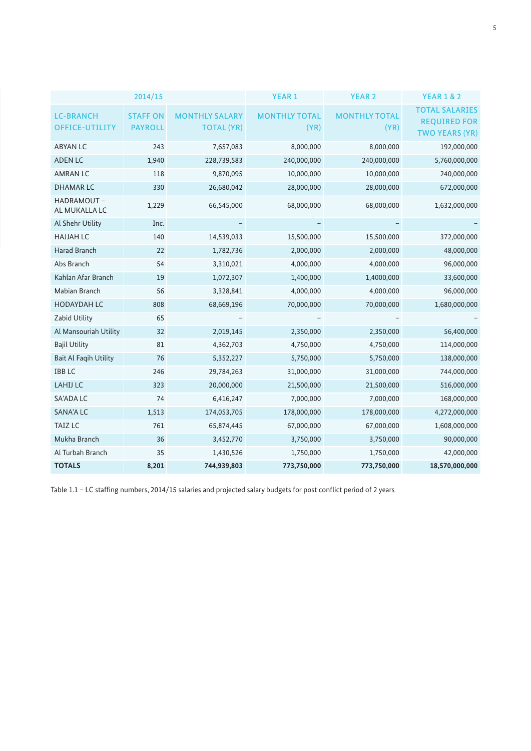|                                           | 2014/15                          |                                            | <b>YEAR 1</b>                | <b>YEAR 2</b>                | <b>YEAR 1 &amp; 2</b>                                                 |
|-------------------------------------------|----------------------------------|--------------------------------------------|------------------------------|------------------------------|-----------------------------------------------------------------------|
| <b>LC-BRANCH</b><br><b>OFFICE-UTILITY</b> | <b>STAFFON</b><br><b>PAYROLL</b> | <b>MONTHLY SALARY</b><br><b>TOTAL (YR)</b> | <b>MONTHLY TOTAL</b><br>(YR) | <b>MONTHLY TOTAL</b><br>(YR) | <b>TOTAL SALARIES</b><br><b>REQUIRED FOR</b><br><b>TWO YEARS (YR)</b> |
| <b>ABYAN LC</b>                           | 243                              | 7,657,083                                  | 8,000,000                    | 8,000,000                    | 192,000,000                                                           |
| <b>ADEN LC</b>                            | 1,940                            | 228,739,583                                | 240,000,000                  | 240,000,000                  | 5,760,000,000                                                         |
| <b>AMRAN LC</b>                           | 118                              | 9,870,095                                  | 10,000,000                   | 10,000,000                   | 240,000,000                                                           |
| <b>DHAMARLC</b>                           | 330                              | 26,680,042                                 | 28,000,000                   | 28,000,000                   | 672,000,000                                                           |
| HADRAMOUT-<br>AL MUKALLA LC               | 1,229                            | 66,545,000                                 | 68,000,000                   | 68,000,000                   | 1,632,000,000                                                         |
| Al Shehr Utility                          | Inc.                             |                                            |                              |                              |                                                                       |
| <b>HAJJAH LC</b>                          | 140                              | 14,539,033                                 | 15,500,000                   | 15,500,000                   | 372,000,000                                                           |
| Harad Branch                              | 22                               | 1,782,736                                  | 2,000,000                    | 2,000,000                    | 48,000,000                                                            |
| Abs Branch                                | 54                               | 3,310,021                                  | 4,000,000                    | 4,000,000                    | 96,000,000                                                            |
| Kahlan Afar Branch                        | 19                               | 1,072,307                                  | 1,400,000                    | 1,4000,000                   | 33,600,000                                                            |
| Mabian Branch                             | 56                               | 3,328,841                                  | 4,000,000                    | 4,000,000                    | 96,000,000                                                            |
| <b>HODAYDAH LC</b>                        | 808                              | 68,669,196                                 | 70,000,000                   | 70,000,000                   | 1,680,000,000                                                         |
| Zabid Utility                             | 65                               |                                            |                              |                              |                                                                       |
| Al Mansouriah Utility                     | 32                               | 2,019,145                                  | 2,350,000                    | 2,350,000                    | 56,400,000                                                            |
| <b>Bajil Utility</b>                      | 81                               | 4,362,703                                  | 4,750,000                    | 4,750,000                    | 114,000,000                                                           |
| <b>Bait Al Faqih Utility</b>              | 76                               | 5,352,227                                  | 5,750,000                    | 5,750,000                    | 138,000,000                                                           |
| <b>IBBLC</b>                              | 246                              | 29,784,263                                 | 31,000,000                   | 31,000,000                   | 744,000,000                                                           |
| <b>LAHIJ LC</b>                           | 323                              | 20,000,000                                 | 21,500,000                   | 21,500,000                   | 516,000,000                                                           |
| SA'ADA LC                                 | 74                               | 6,416,247                                  | 7,000,000                    | 7,000,000                    | 168,000,000                                                           |
| <b>SANA'A LC</b>                          | 1,513                            | 174,053,705                                | 178,000,000                  | 178,000,000                  | 4,272,000,000                                                         |
| <b>TAIZ LC</b>                            | 761                              | 65,874,445                                 | 67,000,000                   | 67,000,000                   | 1,608,000,000                                                         |
| Mukha Branch                              | 36                               | 3,452,770                                  | 3,750,000                    | 3,750,000                    | 90,000,000                                                            |
| Al Turbah Branch                          | 35                               | 1,430,526                                  | 1,750,000                    | 1,750,000                    | 42,000,000                                                            |
| <b>TOTALS</b>                             | 8,201                            | 744,939,803                                | 773,750,000                  | 773,750,000                  | 18,570,000,000                                                        |

Table 1.1 – LC staffing numbers, 2014/15 salaries and projected salary budgets for post conflict period of 2 years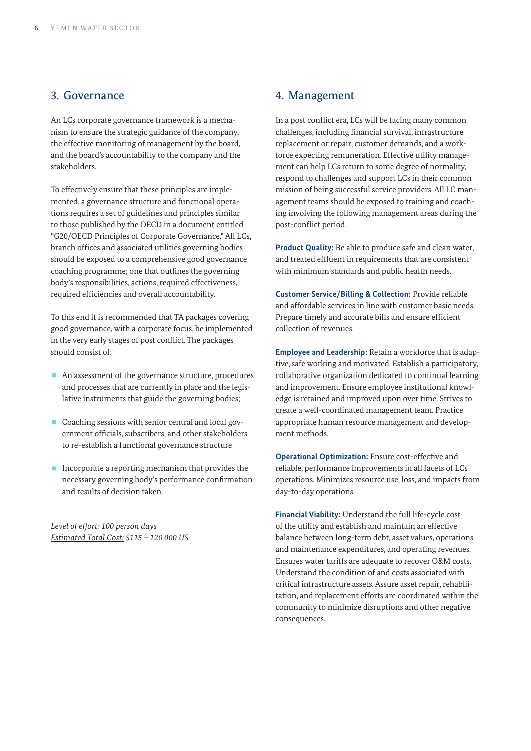#### 3. Governance

An LCs corporate governance framework is a mechanism to ensure the strategic guidance of the company, the effective monitoring of management by the board, and the board's accountability to the company and the stakeholders.

To effectively ensure that these principles are implemented, a governance structure and functional operations requires a set of guidelines and principles similar to those published by the OECD in a document entitled "G20/OECD Principles of Corporate Governance." All LCs, branch offices and associated utilities governing bodies should be exposed to a comprehensive good governance coaching programme; one that outlines the governing body's responsibilities, actions, required effectiveness, required efficiencies and overall accountability.

To this end it is recommended that TA packages covering good governance, with a corporate focus, be implemented in the very early stages of post conflict. The packages should consist of:

- An assessment of the governance structure, procedures and processes that are currently in place and the legislative instruments that guide the governing bodies;
- Coaching sessions with senior central and local government officials, subscribers, and other stakeholders to re-establish a functional governance structure
- $\blacksquare$  Incorporate a reporting mechanism that provides the necessary governing body's performance confirmation and results of decision taken.

*Level of effort: 100 person days Estimated Total Cost: \$115 – 120,000 US*

#### 4. Management

In a post conflict era, LCs will be facing many common challenges, including financial survival, infrastructure replacement or repair, customer demands, and a workforce expecting remuneration. Effective utility management can help LCs return to some degree of normality, respond to challenges and support LCs in their common mission of being successful service providers. All LC management teams should be exposed to training and coaching involving the following management areas during the post-conflict period.

**Product Quality:** Be able to produce safe and clean water, and treated effluent in requirements that are consistent with minimum standards and public health needs.

**Customer Service/Billing & Collection:** Provide reliable and affordable services in line with customer basic needs. Prepare timely and accurate bills and ensure efficient collection of revenues.

**Employee and Leadership:** Retain a workforce that is adaptive, safe working and motivated. Establish a participatory, collaborative organization dedicated to continual learning and improvement. Ensure employee institutional knowledge is retained and improved upon over time. Strives to create a well-coordinated management team. Practice appropriate human resource management and development methods.

**Operational Optimization:** Ensure cost-effective and reliable, performance improvements in all facets of LCs operations. Minimizes resource use, loss, and impacts from day-to-day operations.

**Financial Viability:** Understand the full life-cycle cost of the utility and establish and maintain an effective balance between long-term debt, asset values, operations and maintenance expenditures, and operating revenues. Ensures water tariffs are adequate to recover O&M costs. Understand the condition of and costs associated with critical infrastructure assets. Assure asset repair, rehabilitation, and replacement efforts are coordinated within the community to minimize disruptions and other negative consequences.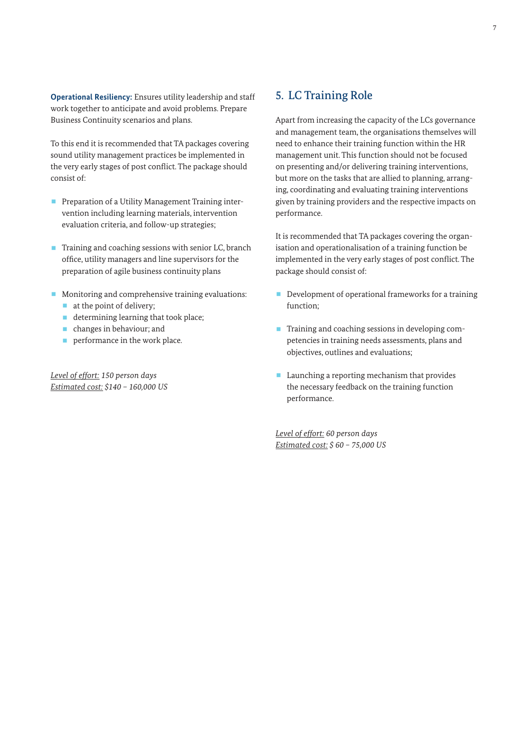**Operational Resiliency:** Ensures utility leadership and staff work together to anticipate and avoid problems. Prepare Business Continuity scenarios and plans.

To this end it is recommended that TA packages covering sound utility management practices be implemented in the very early stages of post conflict. The package should consist of:

- Preparation of a Utility Management Training intervention including learning materials, intervention evaluation criteria, and follow-up strategies;
- Training and coaching sessions with senior LC, branch office, utility managers and line supervisors for the preparation of agile business continuity plans
- Monitoring and comprehensive training evaluations:
	- at the point of delivery;
	- determining learning that took place;
	- changes in behaviour; and
	- **•** performance in the work place.

*Level of effort: 150 person days Estimated cost: \$140 – 160,000 US*

#### 5. LC Training Role

Apart from increasing the capacity of the LCs governance and management team, the organisations themselves will need to enhance their training function within the HR management unit. This function should not be focused on presenting and/or delivering training interventions, but more on the tasks that are allied to planning, arranging, coordinating and evaluating training interventions given by training providers and the respective impacts on performance.

It is recommended that TA packages covering the organisation and operationalisation of a training function be implemented in the very early stages of post conflict. The package should consist of:

- Development of operational frameworks for a training function;
- Training and coaching sessions in developing competencies in training needs assessments, plans and objectives, outlines and evaluations;
- Launching a reporting mechanism that provides the necessary feedback on the training function performance.

*Level of effort: 60 person days Estimated cost: \$ 60 – 75,000 US*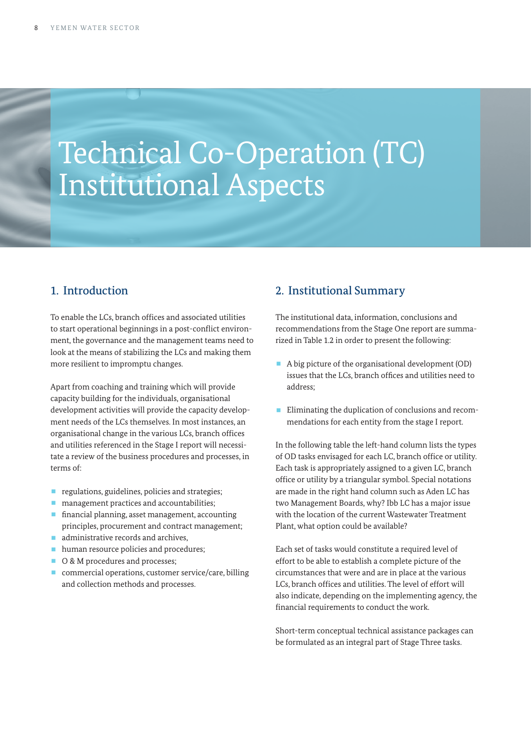# Technical Co-Operation (TC) Institutional Aspects

### 1. Introduction

To enable the LCs, branch offices and associated utilities to start operational beginnings in a post-conflict environment, the governance and the management teams need to look at the means of stabilizing the LCs and making them more resilient to impromptu changes.

Apart from coaching and training which will provide capacity building for the individuals, organisational development activities will provide the capacity development needs of the LCs themselves. In most instances, an organisational change in the various LCs, branch offices and utilities referenced in the Stage I report will necessitate a review of the business procedures and processes, in terms of:

- regulations, guidelines, policies and strategies;
- management practices and accountabilities;
- financial planning, asset management, accounting principles, procurement and contract management;
- administrative records and archives,
- **human resource policies and procedures;**
- O & M procedures and processes;
- commercial operations, customer service/care, billing and collection methods and processes.

#### 2. Institutional Summary

The institutional data, information, conclusions and recommendations from the Stage One report are summarized in Table 1.2 in order to present the following:

- A big picture of the organisational development (OD) issues that the LCs, branch offices and utilities need to address;
- Eliminating the duplication of conclusions and recommendations for each entity from the stage I report.

In the following table the left-hand column lists the types of OD tasks envisaged for each LC, branch office or utility. Each task is appropriately assigned to a given LC, branch office or utility by a triangular symbol. Special notations are made in the right hand column such as Aden LC has two Management Boards, why? Ibb LC has a major issue with the location of the current Wastewater Treatment Plant, what option could be available?

Each set of tasks would constitute a required level of effort to be able to establish a complete picture of the circumstances that were and are in place at the various LCs, branch offices and utilities. The level of effort will also indicate, depending on the implementing agency, the financial requirements to conduct the work.

Short-term conceptual technical assistance packages can be formulated as an integral part of Stage Three tasks.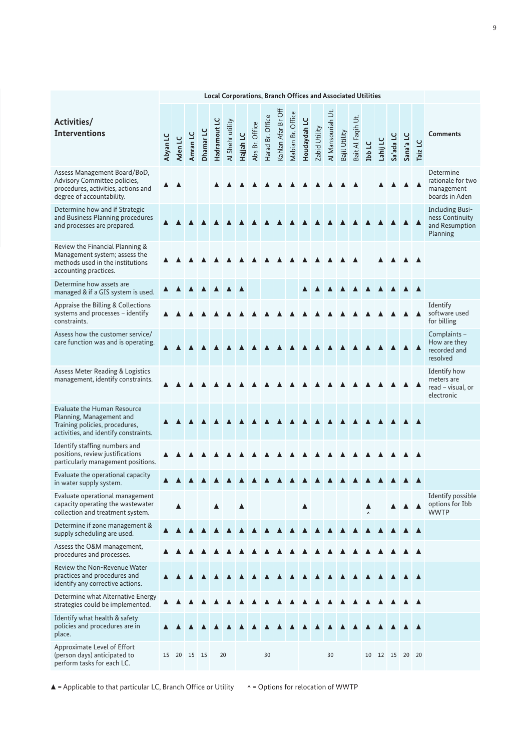|                                                                                                                                           |          |         |          |           |              | <b>Local Corporations, Branch Offices and Associated Utilities</b> |           |                |                  |                    |                   |              |               |                   |               |                   |               |          |             |           |                  |                                                                         |
|-------------------------------------------------------------------------------------------------------------------------------------------|----------|---------|----------|-----------|--------------|--------------------------------------------------------------------|-----------|----------------|------------------|--------------------|-------------------|--------------|---------------|-------------------|---------------|-------------------|---------------|----------|-------------|-----------|------------------|-------------------------------------------------------------------------|
| Activities/<br><b>Interventions</b>                                                                                                       | Abyan LC | Aden LC | Amran LC | Dhamar LC | Hadramout LC | Al Shehr utility                                                   | Hajjah LC | Abs Br. Office | Harad Br. Office | Kahlan Afar Br Off | Mabian Br. Office | Houdaydah LC | Zabid Utility | Al Mansouriah Ut. | Bajil Utility | Bait Al Faqih Ut. | <b>Ibb LC</b> | Lahij LC | Sa'ada LC   | Sana'a LC | Taiz LC          | <b>Comments</b>                                                         |
| Assess Management Board/BoD,<br>Advisory Committee policies,<br>procedures, activities, actions and<br>degree of accountability.          |          |         |          |           |              |                                                                    |           |                |                  |                    |                   |              |               |                   |               |                   |               |          |             |           |                  | Determine<br>rationale for two<br>management<br>boards in Aden          |
| Determine how and if Strategic<br>and Business Planning procedures<br>and processes are prepared.                                         |          |         |          |           |              |                                                                    |           |                |                  |                    |                   |              |               |                   |               |                   |               |          |             |           |                  | <b>Including Busi-</b><br>ness Continuity<br>and Resumption<br>Planning |
| Review the Financial Planning &<br>Management system; assess the<br>methods used in the institutions<br>accounting practices.             |          |         |          |           |              |                                                                    |           |                |                  |                    |                   |              |               |                   |               |                   |               |          |             |           |                  |                                                                         |
| Determine how assets are<br>managed & if a GIS system is used.                                                                            |          |         |          |           |              |                                                                    |           |                |                  |                    |                   |              |               |                   |               |                   |               |          |             |           |                  |                                                                         |
| Appraise the Billing & Collections<br>systems and processes - identify<br>constraints.                                                    |          |         |          |           |              |                                                                    |           |                |                  |                    |                   |              |               |                   |               |                   |               |          |             |           | $\blacktriangle$ | Identify<br>software used<br>for billing                                |
| Assess how the customer service/<br>care function was and is operating.                                                                   |          |         |          |           |              |                                                                    |           |                |                  |                    |                   |              |               |                   |               |                   |               |          |             |           |                  | Complaints -<br>How are they<br>recorded and<br>resolved                |
| Assess Meter Reading & Logistics<br>management, identify constraints.                                                                     |          |         |          |           |              |                                                                    |           |                |                  |                    |                   |              |               |                   |               |                   |               |          |             |           |                  | Identify how<br>meters are<br>read - visual, or<br>electronic           |
| <b>Evaluate the Human Resource</b><br>Planning, Management and<br>Training policies, procedures,<br>activities, and identify constraints. |          |         |          |           |              |                                                                    |           |                |                  |                    |                   |              |               |                   |               |                   |               |          |             |           |                  |                                                                         |
| Identify staffing numbers and<br>positions, review justifications<br>particularly management positions.                                   |          |         |          |           |              |                                                                    |           |                |                  |                    |                   |              |               |                   |               |                   |               |          |             |           |                  |                                                                         |
| Evaluate the operational capacity<br>in water supply system.                                                                              |          |         |          |           |              |                                                                    |           |                |                  |                    |                   |              |               |                   |               |                   |               |          |             |           |                  |                                                                         |
| Evaluate operational management<br>capacity operating the wastewater<br>collection and treatment system.                                  |          |         |          |           |              |                                                                    |           |                |                  |                    |                   |              |               |                   |               |                   |               |          |             |           |                  | Identify possible<br>options for Ibb<br><b>WWTP</b>                     |
| Determine if zone management &<br>supply scheduling are used.                                                                             |          |         |          |           |              |                                                                    |           |                |                  |                    |                   |              |               |                   |               |                   |               |          |             |           |                  |                                                                         |
| Assess the O&M management,<br>procedures and processes.                                                                                   |          |         |          |           |              |                                                                    |           |                |                  |                    |                   |              |               |                   |               |                   |               |          |             |           |                  |                                                                         |
| Review the Non-Revenue Water<br>practices and procedures and<br>identify any corrective actions.                                          |          |         |          |           |              |                                                                    |           |                |                  |                    |                   |              |               |                   |               |                   |               |          |             |           |                  |                                                                         |
| Determine what Alternative Energy<br>strategies could be implemented.                                                                     |          |         |          |           |              |                                                                    |           |                |                  |                    |                   |              |               |                   |               |                   |               |          |             |           |                  |                                                                         |
| Identify what health & safety<br>policies and procedures are in<br>place.                                                                 |          |         |          |           |              |                                                                    |           |                |                  |                    |                   |              |               |                   |               |                   |               |          |             |           |                  |                                                                         |
| Approximate Level of Effort<br>(person days) anticipated to<br>perform tasks for each LC.                                                 | 15       |         | 20 15 15 |           |              | 20                                                                 |           |                | 30               |                    |                   |              |               | 30                |               |                   | 10            |          | 12 15 20 20 |           |                  |                                                                         |

 $\blacktriangle$  = Applicable to that particular LC, Branch Office or Utility  $\blacktriangle$  = Options for relocation of WWTP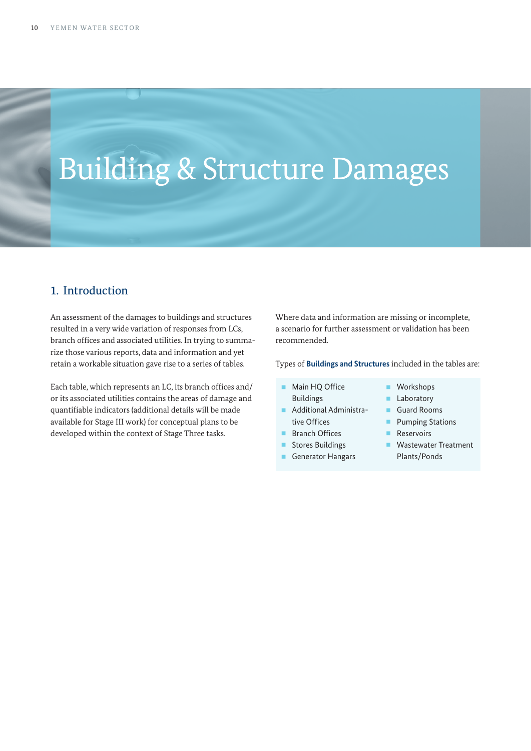# Building & Structure Damages

#### 1. Introduction

An assessment of the damages to buildings and structures resulted in a very wide variation of responses from LCs, branch offices and associated utilities. In trying to summarize those various reports, data and information and yet retain a workable situation gave rise to a series of tables.

Each table, which represents an LC, its branch offices and/ or its associated utilities contains the areas of damage and quantifiable indicators (additional details will be made available for Stage III work) for conceptual plans to be developed within the context of Stage Three tasks.

Where data and information are missing or incomplete, a scenario for further assessment or validation has been recommended.

Types of **Buildings and Structures** included in the tables are:

- Main HQ Office Buildings
- § Additional Administrative Offices
- Branch Offices
- Stores Buildings
- Generator Hangars
- Workshops<br>■ Laboratory **Laboratory** 
	- § Guard Rooms
- 
- Pumping Stations<br>■ Reservoirs **Reservoirs**
- Wastewater Treatment Plants/Ponds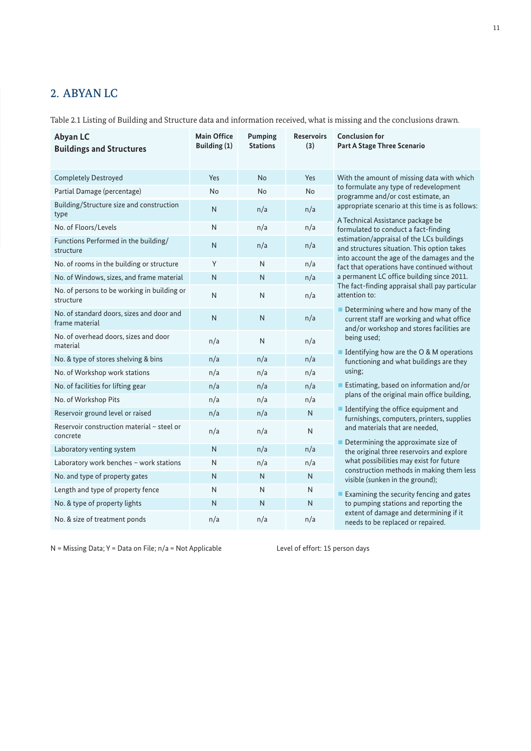# 2. ABYAN LC

Table 2.1 Listing of Building and Structure data and information received, what is missing and the conclusions drawn.

| <b>Abyan LC</b><br><b>Buildings and Structures</b>          | <b>Main Office</b><br>Building (1) | Pumping<br><b>Stations</b> | <b>Reservoirs</b><br>(3) | <b>Conclusion for</b><br>Part A Stage Three Scenario                                                                                 |
|-------------------------------------------------------------|------------------------------------|----------------------------|--------------------------|--------------------------------------------------------------------------------------------------------------------------------------|
|                                                             |                                    |                            |                          |                                                                                                                                      |
| <b>Completely Destroyed</b>                                 | Yes                                | <b>No</b>                  | Yes                      | With the amount of missing data with which                                                                                           |
| Partial Damage (percentage)                                 | No                                 | No                         | No                       | to formulate any type of redevelopment<br>programme and/or cost estimate, an                                                         |
| Building/Structure size and construction<br>type            | N                                  | n/a                        | n/a                      | appropriate scenario at this time is as follows:<br>A Technical Assistance package be                                                |
| No. of Floors/Levels                                        | $\mathsf{N}$                       | n/a                        | n/a                      | formulated to conduct a fact-finding                                                                                                 |
| Functions Performed in the building/<br>structure           | N                                  | n/a                        | n/a                      | estimation/appraisal of the LCs buildings<br>and structures situation. This option takes                                             |
| No. of rooms in the building or structure                   | Y                                  | N                          | n/a                      | into account the age of the damages and the<br>fact that operations have continued without                                           |
| No. of Windows, sizes, and frame material                   | N                                  | N                          | n/a                      | a permanent LC office building since 2011.                                                                                           |
| No. of persons to be working in building or<br>structure    | N                                  | N                          | n/a                      | The fact-finding appraisal shall pay particular<br>attention to:                                                                     |
| No. of standard doors, sizes and door and<br>frame material | N                                  | N                          | n/a                      | Determining where and how many of the<br>ш<br>current staff are working and what office<br>and/or workshop and stores facilities are |
| No. of overhead doors, sizes and door<br>material           | n/a                                | N                          | n/a                      | being used;<br>■ Identifying how are the O & M operations                                                                            |
| No. & type of stores shelving & bins                        | n/a                                | n/a                        | n/a                      | functioning and what buildings are they                                                                                              |
| No. of Workshop work stations                               | n/a                                | n/a                        | n/a                      | using;                                                                                                                               |
| No. of facilities for lifting gear                          | n/a                                | n/a                        | n/a                      | Estimating, based on information and/or                                                                                              |
| No. of Workshop Pits                                        | n/a                                | n/a                        | n/a                      | plans of the original main office building,                                                                                          |
| Reservoir ground level or raised                            | n/a                                | n/a                        | N                        | I Identifying the office equipment and<br>furnishings, computers, printers, supplies                                                 |
| Reservoir construction material - steel or<br>concrete      | n/a                                | n/a                        | N                        | and materials that are needed,<br>Determining the approximate size of                                                                |
| Laboratory venting system                                   | N                                  | n/a                        | n/a                      | the original three reservoirs and explore                                                                                            |
| Laboratory work benches - work stations                     | N                                  | n/a                        | n/a                      | what possibilities may exist for future                                                                                              |
| No. and type of property gates                              | N                                  | N                          | N.                       | construction methods in making them less<br>visible (sunken in the ground);                                                          |
| Length and type of property fence                           | N                                  | N                          | N                        | Examining the security fencing and gates                                                                                             |
| No. & type of property lights                               | N                                  | N                          | N                        | to pumping stations and reporting the                                                                                                |
| No. & size of treatment ponds                               | n/a                                | n/a                        | n/a                      | extent of damage and determining if it<br>needs to be replaced or repaired.                                                          |

N = Missing Data; Y = Data on File; n/a = Not Applicable Level of effort: 15 person days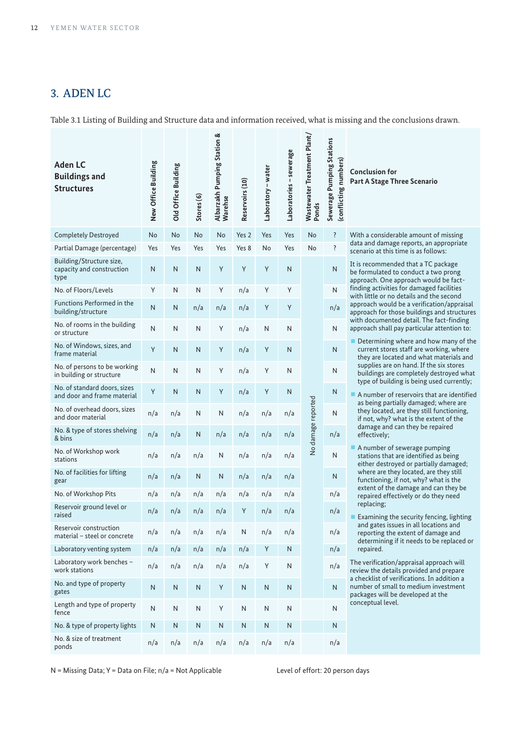# 3. ADEN LC

Table 3.1 Listing of Building and Structure data and information received, what is missing and the conclusions drawn.

| <b>Aden LC</b><br><b>Buildings and</b><br><b>Structures</b>   | New Office Building | Old Office Building | Stores <sub>(6)</sub> | Albarzakh Pumping Station &<br>Warehse | Reservoirs (10) | Laboratory - water | Laboratories - sewerage | Wastewater Treatment Plant/<br>Ponds | Sewerage Pumping Stations<br>(conflicting numbers) | <b>Conclusion for</b><br>Part A Stage Three Scenario                                                                                       |
|---------------------------------------------------------------|---------------------|---------------------|-----------------------|----------------------------------------|-----------------|--------------------|-------------------------|--------------------------------------|----------------------------------------------------|--------------------------------------------------------------------------------------------------------------------------------------------|
| <b>Completely Destroyed</b>                                   | No                  | No                  | <b>No</b>             | No                                     | Yes 2           | Yes                | Yes                     | No                                   | $\ddot{?}$                                         | With a considerable amount of missing                                                                                                      |
| Partial Damage (percentage)                                   | Yes                 | Yes                 | Yes                   | Yes                                    | Yes 8           | No                 | Yes                     | No                                   | ?                                                  | data and damage reports, an appropriate<br>scenario at this time is as follows:                                                            |
| Building/Structure size,<br>capacity and construction<br>type | N                   | N                   | N                     | Y                                      | Y               | Y                  | N                       |                                      | N                                                  | It is recommended that a TC package<br>be formulated to conduct a two prong<br>approach. One approach would be fact-                       |
| No. of Floors/Levels                                          | Y                   | N                   | N                     | Υ                                      | n/a             | Y                  | Y                       |                                      | N                                                  | finding activities for damaged facilities<br>with little or no details and the second                                                      |
| Functions Performed in the<br>building/structure              | N                   | N                   | n/a                   | n/a                                    | n/a             | Υ                  | Y                       |                                      | n/a                                                | approach would be a verification/appraisal<br>approach for those buildings and structures                                                  |
| No. of rooms in the building<br>or structure                  | N                   | Ν                   | N                     | Y                                      | n/a             | Ν                  | N                       |                                      | $\mathsf{N}$                                       | with documented detail. The fact-finding<br>approach shall pay particular attention to:                                                    |
| No. of Windows, sizes, and<br>frame material                  | Y                   | N                   | N                     | Y                                      | n/a             | Y                  | N                       |                                      | N                                                  | $\blacksquare$ Determining where and how many of the<br>current stores staff are working, where<br>they are located and what materials and |
| No. of persons to be working<br>in building or structure      | N                   | N                   | N                     | Υ                                      | n/a             | Y                  | N                       |                                      | Ν                                                  | supplies are on hand. If the six stores<br>buildings are completely destroyed what<br>type of building is being used currently;            |
| No. of standard doors, sizes<br>and door and frame material   | Y                   | N                   | N                     | Y                                      | n/a             | Y                  | N                       |                                      | N                                                  | A number of reservoirs that are identified<br>as being partially damaged; where are                                                        |
| No. of overhead doors, sizes<br>and door material             | n/a                 | n/a                 | N                     | N                                      | n/a             | n/a                | n/a                     | damage reported                      | N                                                  | they located, are they still functioning,<br>if not, why? what is the extent of the                                                        |
| No. & type of stores shelving<br>& bins                       | n/a                 | n/a                 | N                     | n/a                                    | n/a             | n/a                | n/a                     |                                      | n/a                                                | damage and can they be repaired<br>effectively;                                                                                            |
| No. of Workshop work<br>stations                              | n/a                 | n/a                 | n/a                   | N                                      | n/a             | n/a                | n/a                     | $\frac{1}{2}$                        | Ν                                                  | A number of sewerage pumping<br>stations that are identified as being<br>either destroyed or partially damaged;                            |
| No. of facilities for lifting<br>gear                         | n/a                 | n/a                 | N                     | N                                      | n/a             | n/a                | n/a                     |                                      | N                                                  | where are they located, are they still<br>functioning, if not, why? what is the<br>extent of the damage and can they be                    |
| No. of Workshop Pits                                          | n/a                 | n/a                 | n/a                   | n/a                                    | n/a             | n/a                | n/a                     |                                      | n/a                                                | repaired effectively or do they need                                                                                                       |
| Reservoir ground level or<br>raised                           | n/a                 | n/a                 | n/a                   | n/a                                    | Υ               | n/a                | n/a                     |                                      | n/a                                                | replacing;<br>Examining the security fencing, lighting                                                                                     |
| Reservoir construction<br>material - steel or concrete        | n/a                 | n/a                 | n/a                   | n/a                                    | ${\sf N}$       | n/a                | n/a                     |                                      | n/a                                                | and gates issues in all locations and<br>reporting the extent of damage and<br>determining if it needs to be replaced or                   |
| Laboratory venting system                                     | n/a                 | n/a                 | n/a                   | n/a                                    | n/a             | Υ                  | N                       |                                      | n/a                                                | repaired.                                                                                                                                  |
| Laboratory work benches -<br>work stations                    | n/a                 | n/a                 | n/a                   | n/a                                    | n/a             | Υ                  | Ν                       |                                      | n/a                                                | The verification/appraisal approach will<br>review the details provided and prepare<br>a checklist of verifications. In addition a         |
| No. and type of property<br>gates                             | $\mathsf{N}$        | N                   | N                     | Y                                      | N               | N                  | N                       |                                      | N.                                                 | number of small to medium investment<br>packages will be developed at the                                                                  |
| Length and type of property<br>fence                          | $\mathsf{N}$        | N                   | N                     | Υ                                      | N               | N                  | N                       |                                      | Ν                                                  | conceptual level.                                                                                                                          |
| No. & type of property lights                                 | ${\sf N}$           | ${\sf N}$           | Ν                     | Ν                                      | Ν               | ${\sf N}$          | ${\sf N}$               |                                      | N                                                  |                                                                                                                                            |
| No. & size of treatment<br>ponds                              | n/a                 | n/a                 | n/a                   | n/a                                    | n/a             | n/a                | n/a                     |                                      | n/a                                                |                                                                                                                                            |

N = Missing Data; Y = Data on File; n/a = Not Applicable Level of effort: 20 person days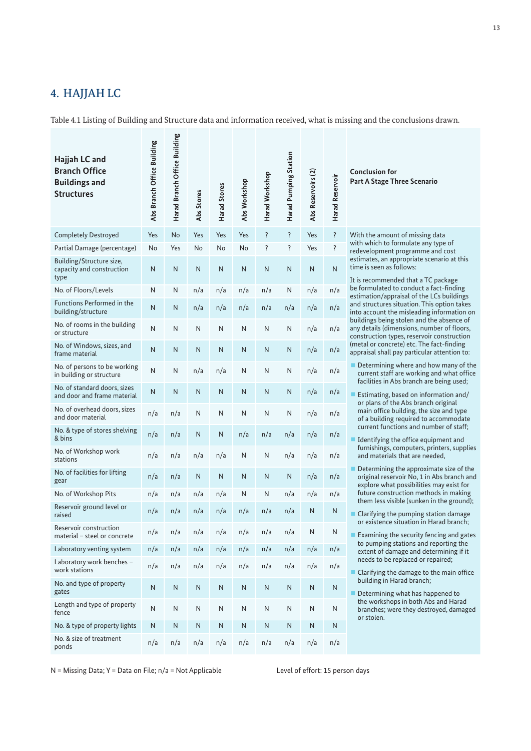## 4. HAJJAH LC

Table 4.1 Listing of Building and Structure data and information received, what is missing and the conclusions drawn.

| Hajjah LC and<br><b>Branch Office</b><br><b>Buildings and</b><br><b>Structures</b> | Abs Branch Office Building | Harad Branch Office Building | Abs Stores | Harad Stores | Abs Workshop | Harad Workshop | Harad Pumping Station | Abs Reservoirs (2) | Harad Reservoir |
|------------------------------------------------------------------------------------|----------------------------|------------------------------|------------|--------------|--------------|----------------|-----------------------|--------------------|-----------------|
| <b>Completely Destroyed</b>                                                        | Yes                        | No                           | Yes        | Yes          | Yes          | ?              | ?                     | Yes                | ?               |
| Partial Damage (percentage)                                                        | No                         | Yes                          | No         | No           | No           | ?              | ?                     | Yes                | ŗ               |
| Building/Structure size,<br>capacity and construction<br>type                      | N                          | Ν                            | N          | N            | N            | N              | N                     | N                  | N               |
| No. of Floors/Levels                                                               | N                          | Ν                            | n/a        | n/a          | n/a          | n/a            | N                     | n/a                | n/a             |
| <b>Functions Performed in the</b><br>building/structure                            | N                          | Ν                            | n/a        | n/a          | n/a          | n/a            | n/a                   | n/a                | n/a             |
| No. of rooms in the building<br>or structure                                       | N                          | Ν                            | N          | N            | N            | N              | N                     | n/a                | n/a             |
| No. of Windows, sizes, and<br>frame material                                       | N                          | Ν                            | N          | N            | N            | N              | N                     | n/a                | n/a             |
| No. of persons to be working<br>in building or structure                           | N                          | N                            | n/a        | n/a          | Ν            | N              | Ν                     | n/a                | n/a             |
| No. of standard doors, sizes<br>and door and frame material                        | N                          | N                            | N          | N            | N            | N              | N                     | n/a                | n/a             |
| No. of overhead doors, sizes<br>and door material                                  | n/a                        | n/a                          | N          | N            | N            | N              | N                     | n/a                | n/a             |
| No. & type of stores shelving<br>& bins                                            | n/a                        | n/a                          | N          | N            | n/a          | n/a            | n/a                   | n/a                | n/a             |
| No. of Workshop work<br>stations                                                   | n/a                        | n/a                          | n/a        | n/a          | N            | N              | n/a                   | n/a                | n/a             |
| No. of facilities for lifting<br>gear                                              | n/a                        | n/a                          | N          | N            | N            | N              | N                     | n/a                | n/a             |
| No. of Workshop Pits                                                               | n/a                        | n/a                          | n/a        | n/a          | Ν            | Ν              | n/a                   | n/a                | n/a             |
| Reservoir ground level or<br>raised                                                | n/a                        | n/a                          | n/a        | n/a          | n/a          | n/a            | n/a                   | Ν                  | Ν               |
| Reservoir construction<br>material – steel or concrete                             | n/a                        | n/a                          | n/a        | n/a          | n/a          | n/a            | n/a                   | Ν                  | N               |
| Laboratory venting system                                                          | n/a                        | n/a                          | n/a        | n/a          | n/a          | n/a            | n/a                   | n/a                | n/a             |
| Laboratory work benches -<br>work stations                                         | n/a                        | n/a                          | n/a        | n/a          | n/a          | n/a            | n/a                   | n/a                | n/a             |
| No. and type of property<br>gates                                                  | N                          | ${\sf N}$                    | ${\sf N}$  | ${\sf N}$    | Ν            | Ν              | N                     | Ν                  | Ν               |
| Length and type of property<br>fence                                               | N                          | N                            | N          | N            | N            | N              | N                     | N                  | Ν               |
| No. & type of property lights                                                      | N                          | N                            | N          | ${\sf N}$    | N            | N              | N                     | N                  | N               |
| No. & size of treatment<br>ponds                                                   | n/a                        | n/a                          | n/a        | n/a          | n/a          | n/a            | n/a                   | n/a                | n/a             |

 $\overline{\omega}$ 

**Conclusion for Part A Stage Three Scenario**

With the amount of missing data with which to formulate any type of redevelopment programme and cost estimates, an appropriate scenario at this time is seen as follows:

It is recommended that a TC package be formulated to conduct a fact-finding estimation/appraisal of the LCs buildings and structures situation. This option takes into account the misleading information on buildings being stolen and the absence of any details (dimensions, number of floors, construction types, reservoir construction (metal or concrete) etc. The fact-finding appraisal shall pay particular attention to:

- Determining where and how many of the current staff are working and what office facilities in Abs branch are being used;
- Estimating, based on information and/ or plans of the Abs branch original main office building, the size and type of a building required to accommodate current functions and number of staff;
- Identifying the office equipment and furnishings, computers, printers, supplies and materials that are needed,
- Determining the approximate size of the original reservoir No, 1 in Abs branch and explore what possibilities may exist for future construction methods in making them less visible (sunken in the ground);
- Clarifying the pumping station damage or existence situation in Harad branch;
- Examining the security fencing and gates to pumping stations and reporting the extent of damage and determining if it needs to be replaced or repaired;
- § Clarifying the damage to the main office building in Harad branch;
- § Determining what has happened to the workshops in both Abs and Harad branches; were they destroyed, damaged or stolen.

N = Missing Data; Y = Data on File;  $n/a$  = Not Applicable Level of effort: 15 person days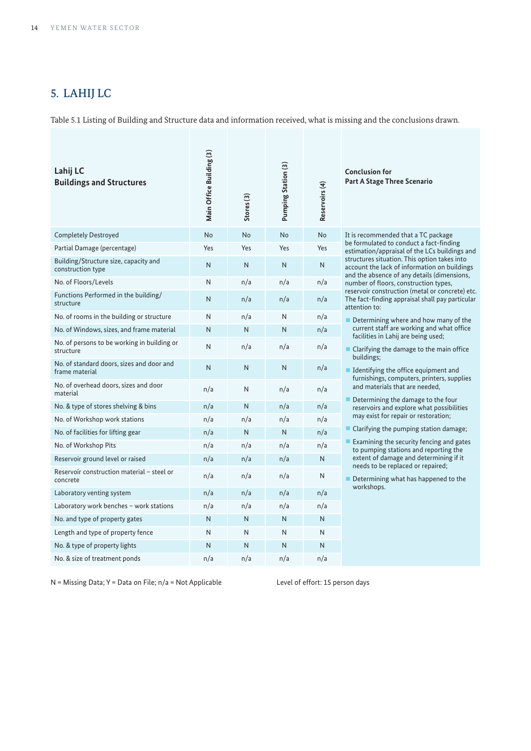## 5. LAHIJ LC

Table 5.1 Listing of Building and Structure data and information received, what is missing and the conclusions drawn.

| Lahij LC<br><b>Buildings and Structures</b>                 | Main Office Building (3) | Stores <sub>(3)</sub> | Pumping Station (3) | Reservoirs (4) | <b>Conclusion for</b><br>Part A Stage Three Scenario                                                                                        |
|-------------------------------------------------------------|--------------------------|-----------------------|---------------------|----------------|---------------------------------------------------------------------------------------------------------------------------------------------|
| <b>Completely Destroyed</b>                                 | <b>No</b>                | <b>No</b>             | <b>No</b>           | <b>No</b>      | It is recommended that a TC package                                                                                                         |
| Partial Damage (percentage)                                 | Yes                      | Yes                   | Yes                 | Yes            | be formulated to conduct a fact-finding<br>estimation/appraisal of the LCs buildings and                                                    |
| Building/Structure size, capacity and<br>construction type  | N                        | N                     | $\mathsf{N}$        | N              | structures situation. This option takes into<br>account the lack of information on buildings<br>and the absence of any details (dimensions, |
| No. of Floors/Levels                                        | N                        | n/a                   | n/a                 | n/a            | number of floors, construction types,                                                                                                       |
| Functions Performed in the building/<br>structure           | N                        | n/a                   | n/a                 | n/a            | reservoir construction (metal or concrete) etc.<br>The fact-finding appraisal shall pay particular<br>attention to:                         |
| No. of rooms in the building or structure                   | N                        | n/a                   | N                   | n/a            | $\blacksquare$ Determining where and how many of the                                                                                        |
| No. of Windows, sizes, and frame material                   | N                        | N                     | N                   | n/a            | current staff are working and what office<br>facilities in Lahij are being used;                                                            |
| No. of persons to be working in building or<br>structure    | N                        | n/a                   | n/a                 | n/a            | ■ Clarifying the damage to the main office<br>buildings;                                                                                    |
| No. of standard doors, sizes and door and<br>frame material | N                        | N                     | $\mathsf{N}$        | n/a            | $\blacksquare$ Identifying the office equipment and<br>furnishings, computers, printers, supplies                                           |
| No. of overhead doors, sizes and door<br>material           | n/a                      | N                     | n/a                 | n/a            | and materials that are needed.                                                                                                              |
| No. & type of stores shelving & bins                        | n/a                      | N                     | n/a                 | n/a            | Determining the damage to the four<br>reservoirs and explore what possibilities                                                             |
| No. of Workshop work stations                               | n/a                      | n/a                   | n/a                 | n/a            | may exist for repair or restoration;                                                                                                        |
| No. of facilities for lifting gear                          | n/a                      | N                     | N                   | n/a            | Clarifying the pumping station damage;                                                                                                      |
| No. of Workshop Pits                                        | n/a                      | n/a                   | n/a                 | n/a            | Examining the security fencing and gates<br>to pumping stations and reporting the                                                           |
| Reservoir ground level or raised                            | n/a                      | n/a                   | n/a                 | N              | extent of damage and determining if it<br>needs to be replaced or repaired;                                                                 |
| Reservoir construction material - steel or<br>concrete      | n/a                      | n/a                   | n/a                 | N              | Determining what has happened to the                                                                                                        |
| Laboratory venting system                                   | n/a                      | n/a                   | n/a                 | n/a            | workshops.                                                                                                                                  |
| Laboratory work benches - work stations                     | n/a                      | n/a                   | n/a                 | n/a            |                                                                                                                                             |
| No. and type of property gates                              | N                        | N                     | $\mathsf{N}$        | N              |                                                                                                                                             |
| Length and type of property fence                           | N                        | N                     | N                   | N              |                                                                                                                                             |
| No. & type of property lights                               | N                        | N                     | N                   | N              |                                                                                                                                             |
| No. & size of treatment ponds                               | n/a                      | n/a                   | n/a                 | n/a            |                                                                                                                                             |

N = Missing Data; Y = Data on File; n/a = Not Applicable Level of effort: 15 person days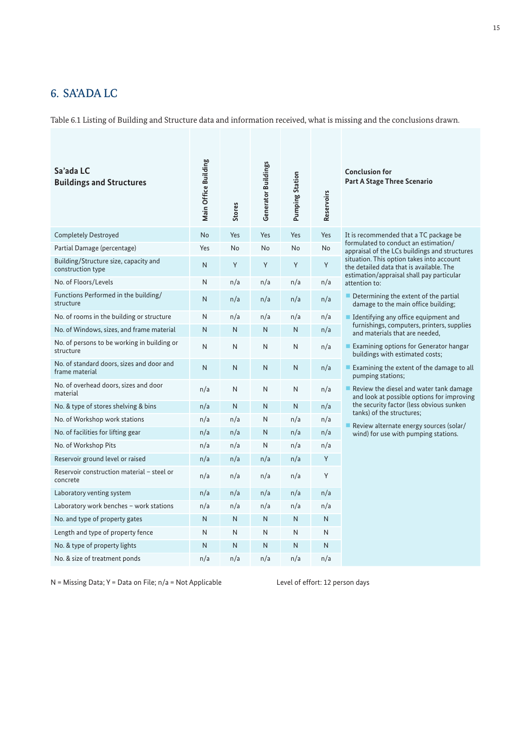## 6. SA'ADA LC

Table 6.1 Listing of Building and Structure data and information received, what is missing and the conclusions drawn.

| Sa'ada LC<br><b>Buildings and Structures</b>                | Main Office Building | Stores | <b>Generator Buildings</b> | <b>Pumping Station</b> | Reservoirs |
|-------------------------------------------------------------|----------------------|--------|----------------------------|------------------------|------------|
| <b>Completely Destroyed</b>                                 | <b>No</b>            | Yes    | Yes                        | Yes                    | Yes        |
| Partial Damage (percentage)                                 | Yes                  | No     | No                         | No                     | No         |
| Building/Structure size, capacity and<br>construction type  | N                    | Y      | Υ                          | Υ                      | Y          |
| No. of Floors/Levels                                        | N                    | n/a    | n/a                        | n/a                    | n/a        |
| Functions Performed in the building/<br>structure           | N                    | n/a    | n/a                        | n/a                    | n/a        |
| No. of rooms in the building or structure                   | N                    | n/a    | n/a                        | n/a                    | n/a        |
| No. of Windows, sizes, and frame material                   | N                    | N      | N                          | N                      | n/a        |
| No. of persons to be working in building or<br>structure    | N                    | N      | N                          | N                      | n/a        |
| No. of standard doors, sizes and door and<br>frame material | N                    | N      | N                          | N                      | n/a        |
| No. of overhead doors, sizes and door<br>material           | n/a                  | N      | N                          | N                      | n/a        |
| No. & type of stores shelving & bins                        | n/a                  | N      | N                          | N                      | n/a        |
| No. of Workshop work stations                               | n/a                  | n/a    | N                          | n/a                    | n/a        |
| No. of facilities for lifting gear                          | n/a                  | n/a    | N                          | n/a                    | n/a        |
| No. of Workshop Pits                                        | n/a                  | n/a    | N                          | n/a                    | n/a        |
| Reservoir ground level or raised                            | n/a                  | n/a    | n/a                        | n/a                    | Y          |
| Reservoir construction material - steel or<br>concrete      | n/a                  | n/a    | n/a                        | n/a                    | Y          |
| Laboratory venting system                                   | n/a                  | n/a    | n/a                        | n/a                    | n/a        |
| Laboratory work benches - work stations                     | n/a                  | n/a    | n/a                        | n/a                    | n/a        |
| No. and type of property gates                              | N                    | N      | N                          | N                      | N          |
| Length and type of property fence                           | N                    | N      | N                          | N                      | N          |
| No. & type of property lights                               | N                    | N      | N                          | N                      | N          |
| No. & size of treatment ponds                               | n/a                  | n/a    | n/a                        | n/a                    | n/a        |

**Conclusion for Part A Stage Three Scenario**

It is recommended that a TC package be formulated to conduct an estimation/ appraisal of the LCs buildings and structures situation. This option takes into account the detailed data that is available. The estimation/appraisal shall pay particular attention to:

- Determining the extent of the partial damage to the main office building;
- Identifying any office equipment and furnishings, computers, printers, supplies and materials that are needed,
- Examining options for Generator hangar buildings with estimated costs;
- Examining the extent of the damage to all pumping stations;

■ Review the diesel and water tank damage and look at possible options for improving the security factor (less obvious sunken tanks) of the structures;

§ Review alternate energy sources (solar/ wind) for use with pumping stations.

N = Missing Data; Y = Data on File;  $n/a$  = Not Applicable Level of effort: 12 person days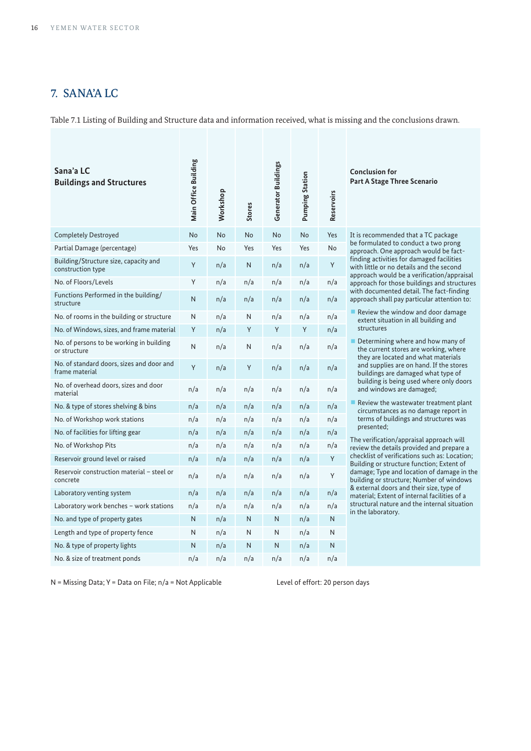## 7. SANA'A LC

Table 7.1 Listing of Building and Structure data and information received, what is missing and the conclusions drawn.

| Sana'a LC<br><b>Buildings and Structures</b>                | Main Office Building | Workshop | <b>Stores</b> | <b>Generator Buildings</b> | <b>Pumping Station</b> | Reservoirs | <b>Conclusion for</b><br>Part A Stage Th                           |
|-------------------------------------------------------------|----------------------|----------|---------------|----------------------------|------------------------|------------|--------------------------------------------------------------------|
| <b>Completely Destroyed</b>                                 | No                   | No       | No            | <b>No</b>                  | No                     | Yes        | It is recommend                                                    |
| Partial Damage (percentage)                                 | Yes                  | No       | Yes           | Yes                        | Yes                    | No         | be formulated to<br>approach. One a                                |
| Building/Structure size, capacity and<br>construction type  | Y                    | n/a      | N             | n/a                        | n/a                    | Y          | finding activities<br>with little or no<br>approach would          |
| No. of Floors/Levels                                        | Y                    | n/a      | n/a           | n/a                        | n/a                    | n/a        | approach for tho                                                   |
| Functions Performed in the building/<br>structure           | N                    | n/a      | n/a           | n/a                        | n/a                    | n/a        | with documente<br>approach shall p                                 |
| No. of rooms in the building or structure                   | N                    | n/a      | N             | n/a                        | n/a                    | n/a        | $\blacksquare$ Review the wi<br>extent situatic                    |
| No. of Windows, sizes, and frame material                   | Y                    | n/a      | Υ             | Y                          | Y                      | n/a        | structures                                                         |
| No. of persons to be working in building<br>or structure    | N                    | n/a      | Ν             | n/a                        | n/a                    | n/a        | $\blacksquare$ Determining v<br>the current sto<br>they are locate |
| No. of standard doors, sizes and door and<br>frame material | Y                    | n/a      | Υ             | n/a                        | n/a                    | n/a        | and supplies a<br>buildings are o                                  |
| No. of overhead doors, sizes and door<br>material           | n/a                  | n/a      | n/a           | n/a                        | n/a                    | n/a        | building is bei<br>and windows                                     |
| No. & type of stores shelving & bins                        | n/a                  | n/a      | n/a           | n/a                        | n/a                    | n/a        | $\blacksquare$ Review the wa<br>circumstances                      |
| No. of Workshop work stations                               | n/a                  | n/a      | n/a           | n/a                        | n/a                    | n/a        | terms of build<br>presented;                                       |
| No. of facilities for lifting gear                          | n/a                  | n/a      | n/a           | n/a                        | n/a                    | n/a        | The verification/                                                  |
| No. of Workshop Pits                                        | n/a                  | n/a      | n/a           | n/a                        | n/a                    | n/a        | review the detail                                                  |
| Reservoir ground level or raised                            | n/a                  | n/a      | n/a           | n/a                        | n/a                    | Y          | checklist of verif<br><b>Building or struc</b>                     |
| Reservoir construction material - steel or<br>concrete      | n/a                  | n/a      | n/a           | n/a                        | n/a                    | Y          | damage; Type an<br>building or struc                               |
| Laboratory venting system                                   | n/a                  | n/a      | n/a           | n/a                        | n/a                    | n/a        | & external doors<br>material; Extent                               |
| Laboratory work benches - work stations                     | n/a                  | n/a      | n/a           | n/a                        | n/a                    | n/a        | structural nature<br>in the laboratory                             |
| No. and type of property gates                              | N                    | n/a      | N             | N                          | n/a                    | N          |                                                                    |
| Length and type of property fence                           | N                    | n/a      | Ν             | Ν                          | n/a                    | N          |                                                                    |
| No. & type of property lights                               | N                    | n/a      | N             | N                          | n/a                    | N          |                                                                    |
| No. & size of treatment ponds                               | n/a                  | n/a      | n/a           | n/a                        | n/a                    | n/a        |                                                                    |

**Part A Scenario** 

ded that a TC package to conduct a two prong approach. One approach would be factfinding activities for damaged facilities details and the second d be a verification/appraisal hose buildings and structures ted detail. The fact-finding pay particular attention to:

vindow and door damage ion in all building and

where and how many of tores are working, where ted and what materials are on hand. If the stores damaged what type of eing used where only doors s are damaged;

vastewater treatment plant es as no damage report in  $ldings$  and structures was

 $\alpha$  /appraisal approach will ils provided and prepare a  $i$  ifications such as: Location: acture function; Extent of and location of damage in the icture; Number of windows s and their size, type of  ${\sf t}$  of internal facilities of a t of michial reciness of c<br>re and the internal situation iy.

N = Missing Data; Y = Data on File;  $n/a$  = Not Applicable Level of effort: 20 person days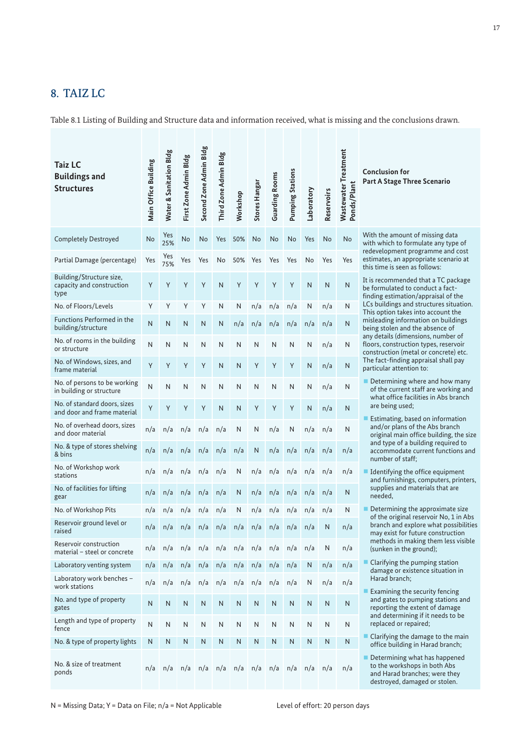## 8. TAIZ LC

Table 8.1 Listing of Building and Structure data and information received, what is missing and the conclusions drawn.

| <b>Taiz LC</b><br><b>Buildings and</b><br><b>Structures</b>   | Main Office Building | Water & Sanitation Bldg | First Zone Admin Bldg | Second Zone Admin Bldg | Third Zone Admin Bldg | Workshop | <b>Stores Hangar</b> | <b>Guarding Rooms</b> | <b>Pumping Stations</b> | Laboratory   | Reservoirs   | Wastewater Treatment<br>Ponds/Plant | <b>Conclusion for</b><br>Part A Stage Three Scenario                                                                            |
|---------------------------------------------------------------|----------------------|-------------------------|-----------------------|------------------------|-----------------------|----------|----------------------|-----------------------|-------------------------|--------------|--------------|-------------------------------------|---------------------------------------------------------------------------------------------------------------------------------|
| <b>Completely Destroyed</b>                                   | No                   | Yes<br>25%              | No                    | No                     | Yes                   | 50%      | No                   | No                    | <b>No</b>               | Yes          | No           | <b>No</b>                           | With the amount of missing data<br>with which to formulate any type of<br>redevelopment programme and cost                      |
| Partial Damage (percentage)                                   | Yes                  | Yes<br>75%              | Yes                   | Yes                    | No                    | 50%      | Yes                  | Yes                   | Yes                     | No           | Yes          | Yes                                 | estimates, an appropriate scenario at<br>this time is seen as follows:                                                          |
| Building/Structure size,<br>capacity and construction<br>type | Υ                    | Y                       | Y                     | Y                      | $\mathsf{N}$          | Y        | Y                    | Y                     | Y                       | $\mathsf{N}$ | $\mathsf{N}$ | N                                   | It is recommended that a TC package<br>be formulated to conduct a fact-<br>finding estimation/appraisal of the                  |
| No. of Floors/Levels                                          | Y                    | Υ                       | Y                     | Υ                      | N                     | Ν        | n/a                  | n/a                   | n/a                     | N            | n/a          | N                                   | LCs buildings and structures situation.<br>This option takes into account the                                                   |
| <b>Functions Performed in the</b><br>building/structure       | N                    | N                       | N                     | N                      | N                     | n/a      | n/a                  | n/a                   | n/a                     | n/a          | n/a          | N                                   | misleading information on buildings<br>being stolen and the absence of                                                          |
| No. of rooms in the building<br>or structure                  | N                    | Ν                       | N                     | N                      | N                     | N        | N                    | N                     | N                       | N            | n/a          | N                                   | any details (dimensions, number of<br>floors, construction types, reservoir<br>construction (metal or concrete) etc.            |
| No. of Windows, sizes, and<br>frame material                  | Y                    | Υ                       | Y                     | Υ                      | N                     | N        | Y                    | Υ                     | Y                       | N            | n/a          | N                                   | The fact-finding appraisal shall pay<br>particular attention to:                                                                |
| No. of persons to be working<br>in building or structure      | Ν                    | Ν                       | N                     | N                      | N                     | Ν        | N                    | N                     | N                       | N            | n/a          | N                                   | ■ Determining where and how many<br>of the current staff are working and                                                        |
| No. of standard doors, sizes<br>and door and frame material   | Υ                    | Y                       | Y                     | Y                      | N                     | Ν        | Y                    | Υ                     | Υ                       | N            | n/a          | N                                   | what office facilities in Abs branch<br>are being used;                                                                         |
| No. of overhead doors, sizes<br>and door material             | n/a                  | n/a                     | n/a                   | n/a                    | n/a                   | Ν        | N                    | n/a                   | N                       | n/a          | n/a          | N                                   | Estimating, based on information<br>and/or plans of the Abs branch<br>original main office building, the size                   |
| No. & type of stores shelving<br>& bins                       | n/a                  | n/a                     | n/a                   | n/a                    | n/a                   | n/a      | N                    | n/a                   | n/a                     | n/a          | n/a          | n/a                                 | and type of a building required to<br>accommodate current functions and<br>number of staff;                                     |
| No. of Workshop work<br>stations                              | n/a                  | n/a                     | n/a                   | n/a                    | n/a                   | N        | n/a                  | n/a                   | n/a                     | n/a          | n/a          | n/a                                 | Identifying the office equipment<br>and furnishings, computers, printers,                                                       |
| No. of facilities for lifting<br>gear                         | n/a                  | n/a                     | n/a                   | n/a                    | n/a                   | N        | n/a                  | n/a                   | n/a                     | n/a          | n/a          | N                                   | supplies and materials that are<br>needed,                                                                                      |
| No. of Workshop Pits                                          | n/a                  | n/a                     | n/a                   | n/a                    | n/a                   | Ν        | n/a                  | n/a                   | n/a                     | n/a          | n/a          | N                                   | Determining the approximate size<br>of the original reservoir No, 1 in Abs                                                      |
| Reservoir ground level or<br>raised                           | n/a                  | n/a                     | n/a                   | n/a                    | n/a                   | n/a      | n/a                  | n/a                   | n/a                     | n/a          | N            | n/a                                 | branch and explore what possibilities<br>may exist for future construction                                                      |
| Reservoir construction<br>material - steel or concrete        | n/a                  | n/a                     | n/a                   | n/a                    | n/a                   | n/a      | n/a                  | n/a                   | n/a                     | n/a          | N            | n/a                                 | methods in making them less visible<br>(sunken in the ground);                                                                  |
| Laboratory venting system                                     | n/a                  | n/a                     | n/a                   | n/a                    | n/a                   | n/a      | n/a                  | n/a                   | n/a                     | N            | n/a          | n/a                                 | ■ Clarifying the pumping station<br>damage or existence situation in                                                            |
| Laboratory work benches -<br>work stations                    | n/a                  | n/a                     | n/a                   | n/a                    | n/a                   | n/a      | n/a                  | n/a                   | n/a                     | N            | n/a          | n/a                                 | Harad branch;<br>Examining the security fencing                                                                                 |
| No. and type of property<br>gates                             | Ν                    | N                       | N                     | $\mathsf{N}$           | N                     | N        | N                    | N                     | N                       | N            | ${\sf N}$    | N                                   | and gates to pumping stations and<br>reporting the extent of damage                                                             |
| Length and type of property<br>fence                          | Ν                    | N                       | N                     | $\mathsf{N}$           | N                     | N        | N                    | N                     | N                       | N            | N            | N                                   | and determining if it needs to be<br>replaced or repaired;                                                                      |
| No. & type of property lights                                 | N                    | ${\sf N}$               | N                     | N                      | $\mathsf{N}$          | N        | N                    | $\mathsf{N}$          | ${\sf N}$               | N            | ${\sf N}$    | ${\sf N}$                           | $\blacksquare$ Clarifying the damage to the main<br>office building in Harad branch;                                            |
| No. & size of treatment<br>ponds                              | n/a                  | n/a                     | n/a                   | n/a                    | n/a                   | n/a      | n/a                  | n/a                   | n/a                     | n/a n/a      |              | n/a                                 | Determining what has happened<br>to the workshops in both Abs<br>and Harad branches; were they<br>destroyed, damaged or stolen. |